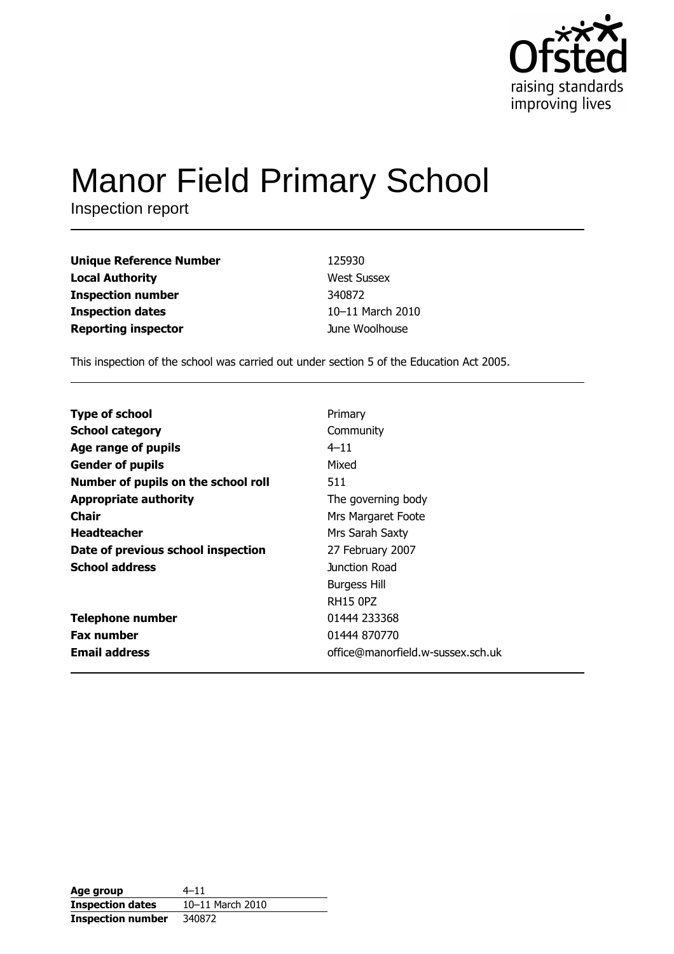

# **Manor Field Primary School**

Inspection report

| <b>Unique Reference Number</b> | 125930             |
|--------------------------------|--------------------|
| <b>Local Authority</b>         | <b>West Sussex</b> |
| <b>Inspection number</b>       | 340872             |
| <b>Inspection dates</b>        | 10-11 March 2010   |
| <b>Reporting inspector</b>     | June Woolhouse     |

This inspection of the school was carried out under section 5 of the Education Act 2005.

| <b>Type of school</b>               | Primary                           |
|-------------------------------------|-----------------------------------|
| <b>School category</b>              | Community                         |
| Age range of pupils                 | $4 - 11$                          |
| <b>Gender of pupils</b>             | Mixed                             |
| Number of pupils on the school roll | 511                               |
| <b>Appropriate authority</b>        | The governing body                |
| <b>Chair</b>                        | Mrs Margaret Foote                |
| <b>Headteacher</b>                  | Mrs Sarah Saxty                   |
| Date of previous school inspection  | 27 February 2007                  |
| <b>School address</b>               | Junction Road                     |
|                                     | <b>Burgess Hill</b>               |
|                                     | <b>RH15 OPZ</b>                   |
| <b>Telephone number</b>             | 01444 233368                      |
| <b>Fax number</b>                   | 01444 870770                      |
| <b>Email address</b>                | office@manorfield.w-sussex.sch.uk |

| Age group                | $4 - 11$         |
|--------------------------|------------------|
| <b>Inspection dates</b>  | 10-11 March 2010 |
| <b>Inspection number</b> | 340872           |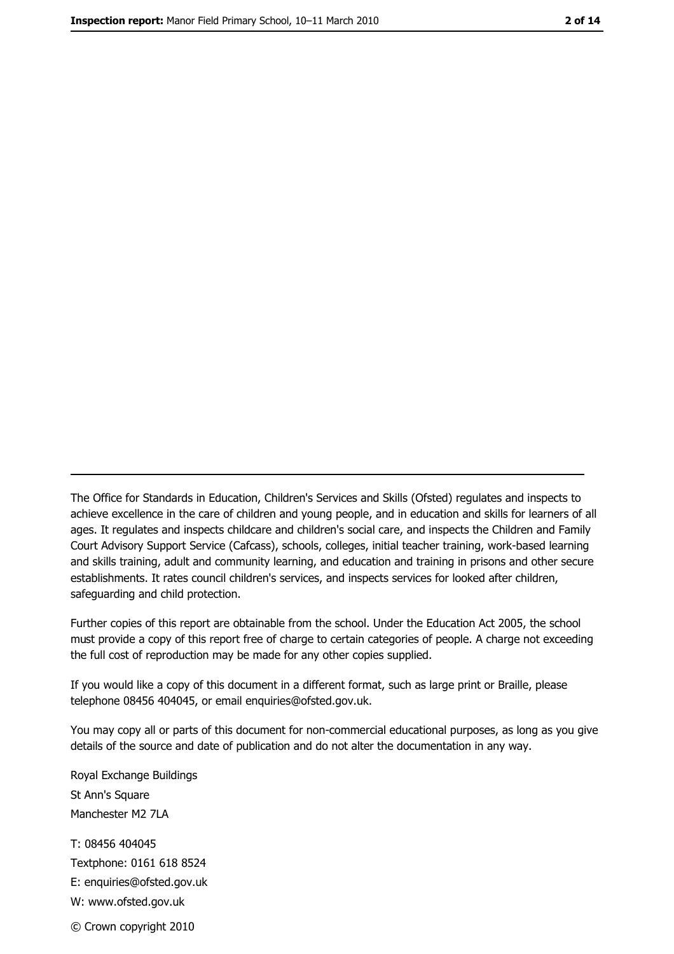The Office for Standards in Education, Children's Services and Skills (Ofsted) regulates and inspects to achieve excellence in the care of children and young people, and in education and skills for learners of all ages. It regulates and inspects childcare and children's social care, and inspects the Children and Family Court Advisory Support Service (Cafcass), schools, colleges, initial teacher training, work-based learning and skills training, adult and community learning, and education and training in prisons and other secure establishments. It rates council children's services, and inspects services for looked after children, safequarding and child protection.

Further copies of this report are obtainable from the school. Under the Education Act 2005, the school must provide a copy of this report free of charge to certain categories of people. A charge not exceeding the full cost of reproduction may be made for any other copies supplied.

If you would like a copy of this document in a different format, such as large print or Braille, please telephone 08456 404045, or email enquiries@ofsted.gov.uk.

You may copy all or parts of this document for non-commercial educational purposes, as long as you give details of the source and date of publication and do not alter the documentation in any way.

Royal Exchange Buildings St Ann's Square Manchester M2 7LA T: 08456 404045 Textphone: 0161 618 8524 E: enquiries@ofsted.gov.uk W: www.ofsted.gov.uk © Crown copyright 2010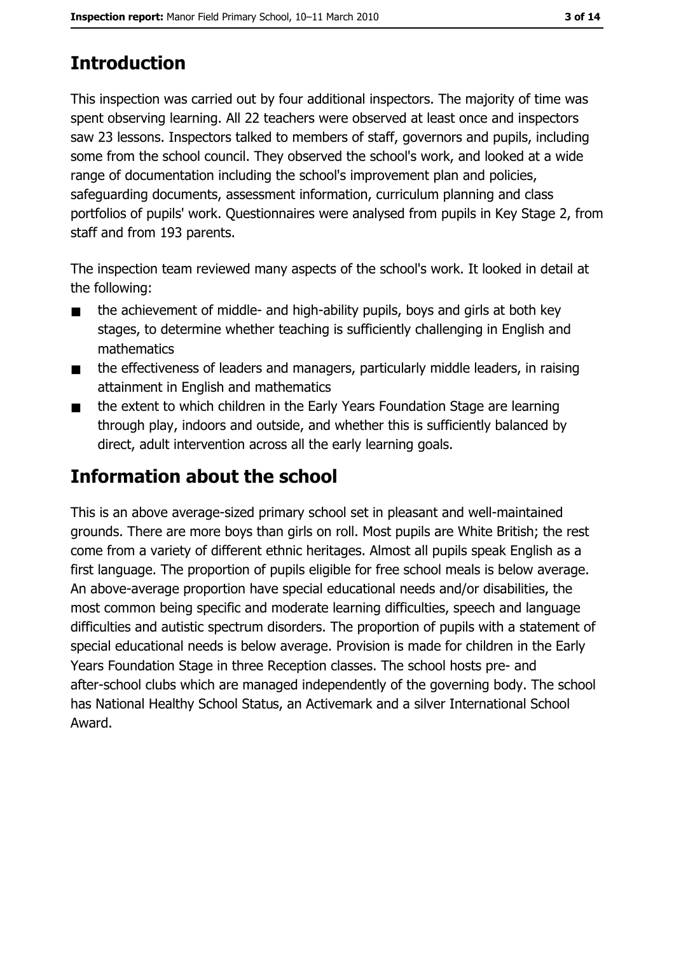## **Introduction**

This inspection was carried out by four additional inspectors. The majority of time was spent observing learning. All 22 teachers were observed at least once and inspectors saw 23 lessons. Inspectors talked to members of staff, governors and pupils, including some from the school council. They observed the school's work, and looked at a wide range of documentation including the school's improvement plan and policies, safeguarding documents, assessment information, curriculum planning and class portfolios of pupils' work. Questionnaires were analysed from pupils in Key Stage 2, from staff and from 193 parents.

The inspection team reviewed many aspects of the school's work. It looked in detail at the following:

- the achievement of middle- and high-ability pupils, boys and girls at both key  $\blacksquare$ stages, to determine whether teaching is sufficiently challenging in English and mathematics
- the effectiveness of leaders and managers, particularly middle leaders, in raising  $\blacksquare$ attainment in English and mathematics
- the extent to which children in the Early Years Foundation Stage are learning  $\blacksquare$ through play, indoors and outside, and whether this is sufficiently balanced by direct, adult intervention across all the early learning goals.

## **Information about the school**

This is an above average-sized primary school set in pleasant and well-maintained grounds. There are more boys than girls on roll. Most pupils are White British; the rest come from a variety of different ethnic heritages. Almost all pupils speak English as a first language. The proportion of pupils eligible for free school meals is below average. An above-average proportion have special educational needs and/or disabilities, the most common being specific and moderate learning difficulties, speech and language difficulties and autistic spectrum disorders. The proportion of pupils with a statement of special educational needs is below average. Provision is made for children in the Early Years Foundation Stage in three Reception classes. The school hosts pre- and after-school clubs which are managed independently of the governing body. The school has National Healthy School Status, an Activemark and a silver International School Award.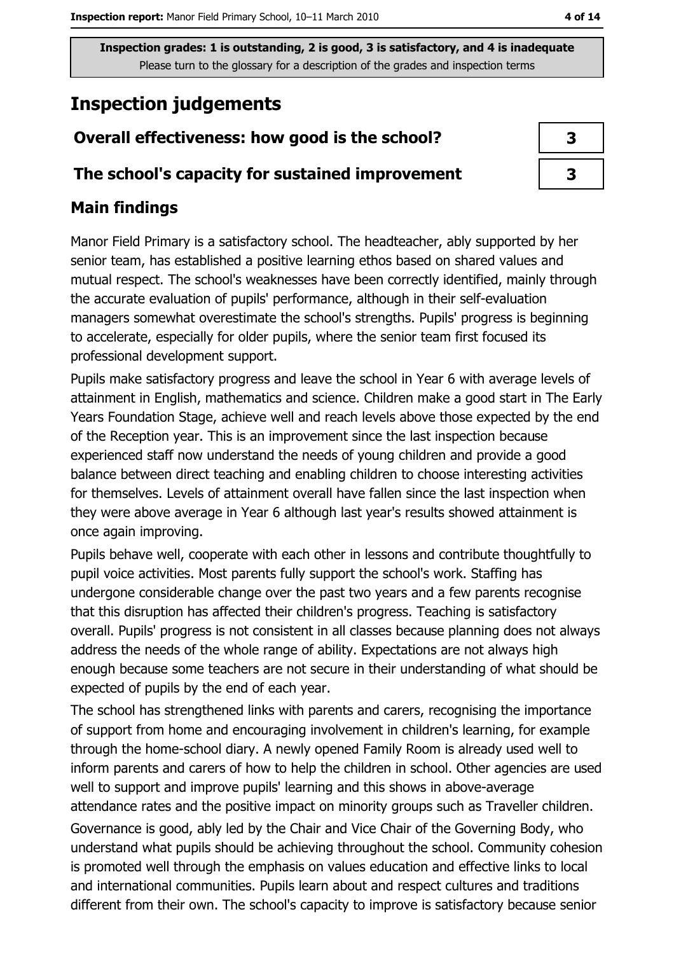## **Inspection judgements**

#### Overall effectiveness: how good is the school?

#### The school's capacity for sustained improvement

#### **Main findings**

Manor Field Primary is a satisfactory school. The headteacher, ably supported by her senior team, has established a positive learning ethos based on shared values and mutual respect. The school's weaknesses have been correctly identified, mainly through the accurate evaluation of pupils' performance, although in their self-evaluation managers somewhat overestimate the school's strengths. Pupils' progress is beginning to accelerate, especially for older pupils, where the senior team first focused its professional development support.

Pupils make satisfactory progress and leave the school in Year 6 with average levels of attainment in English, mathematics and science. Children make a good start in The Early Years Foundation Stage, achieve well and reach levels above those expected by the end of the Reception year. This is an improvement since the last inspection because experienced staff now understand the needs of young children and provide a good balance between direct teaching and enabling children to choose interesting activities for themselves. Levels of attainment overall have fallen since the last inspection when they were above average in Year 6 although last year's results showed attainment is once again improving.

Pupils behave well, cooperate with each other in lessons and contribute thoughtfully to pupil voice activities. Most parents fully support the school's work. Staffing has undergone considerable change over the past two years and a few parents recognise that this disruption has affected their children's progress. Teaching is satisfactory overall. Pupils' progress is not consistent in all classes because planning does not always address the needs of the whole range of ability. Expectations are not always high enough because some teachers are not secure in their understanding of what should be expected of pupils by the end of each year.

The school has strengthened links with parents and carers, recognising the importance of support from home and encouraging involvement in children's learning, for example through the home-school diary. A newly opened Family Room is already used well to inform parents and carers of how to help the children in school. Other agencies are used well to support and improve pupils' learning and this shows in above-average attendance rates and the positive impact on minority groups such as Traveller children. Governance is good, ably led by the Chair and Vice Chair of the Governing Body, who understand what pupils should be achieving throughout the school. Community cohesion is promoted well through the emphasis on values education and effective links to local and international communities. Pupils learn about and respect cultures and traditions different from their own. The school's capacity to improve is satisfactory because senior

| 3 |  |
|---|--|
| 3 |  |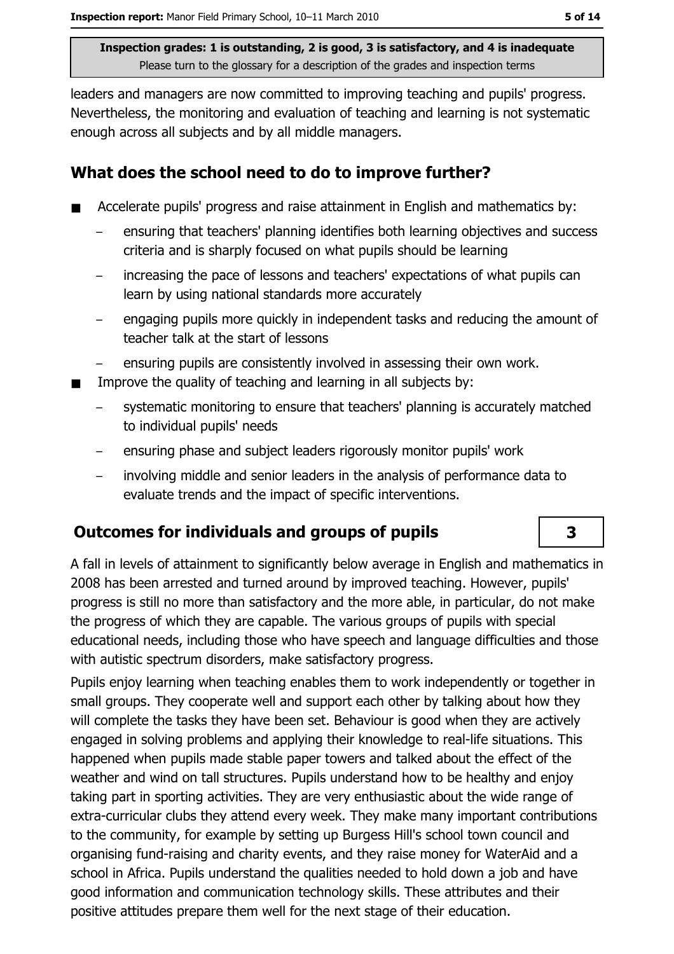leaders and managers are now committed to improving teaching and pupils' progress. Nevertheless, the monitoring and evaluation of teaching and learning is not systematic enough across all subjects and by all middle managers.

#### What does the school need to do to improve further?

- Accelerate pupils' progress and raise attainment in English and mathematics by:
	- ensuring that teachers' planning identifies both learning objectives and success criteria and is sharply focused on what pupils should be learning
	- increasing the pace of lessons and teachers' expectations of what pupils can learn by using national standards more accurately
	- engaging pupils more guickly in independent tasks and reducing the amount of teacher talk at the start of lessons
	- ensuring pupils are consistently involved in assessing their own work.  $\equiv$
- Improve the quality of teaching and learning in all subjects by:
	- systematic monitoring to ensure that teachers' planning is accurately matched to individual pupils' needs
	- ensuring phase and subject leaders rigorously monitor pupils' work
	- involving middle and senior leaders in the analysis of performance data to evaluate trends and the impact of specific interventions.

### **Outcomes for individuals and groups of pupils**

A fall in levels of attainment to significantly below average in English and mathematics in 2008 has been arrested and turned around by improved teaching. However, pupils' progress is still no more than satisfactory and the more able, in particular, do not make the progress of which they are capable. The various groups of pupils with special educational needs, including those who have speech and language difficulties and those with autistic spectrum disorders, make satisfactory progress.

Pupils enjoy learning when teaching enables them to work independently or together in small groups. They cooperate well and support each other by talking about how they will complete the tasks they have been set. Behaviour is good when they are actively engaged in solving problems and applying their knowledge to real-life situations. This happened when pupils made stable paper towers and talked about the effect of the weather and wind on tall structures. Pupils understand how to be healthy and enjoy taking part in sporting activities. They are very enthusiastic about the wide range of extra-curricular clubs they attend every week. They make many important contributions to the community, for example by setting up Burgess Hill's school town council and organising fund-raising and charity events, and they raise money for WaterAid and a school in Africa. Pupils understand the qualities needed to hold down a job and have good information and communication technology skills. These attributes and their positive attitudes prepare them well for the next stage of their education.

 $\overline{\mathbf{3}}$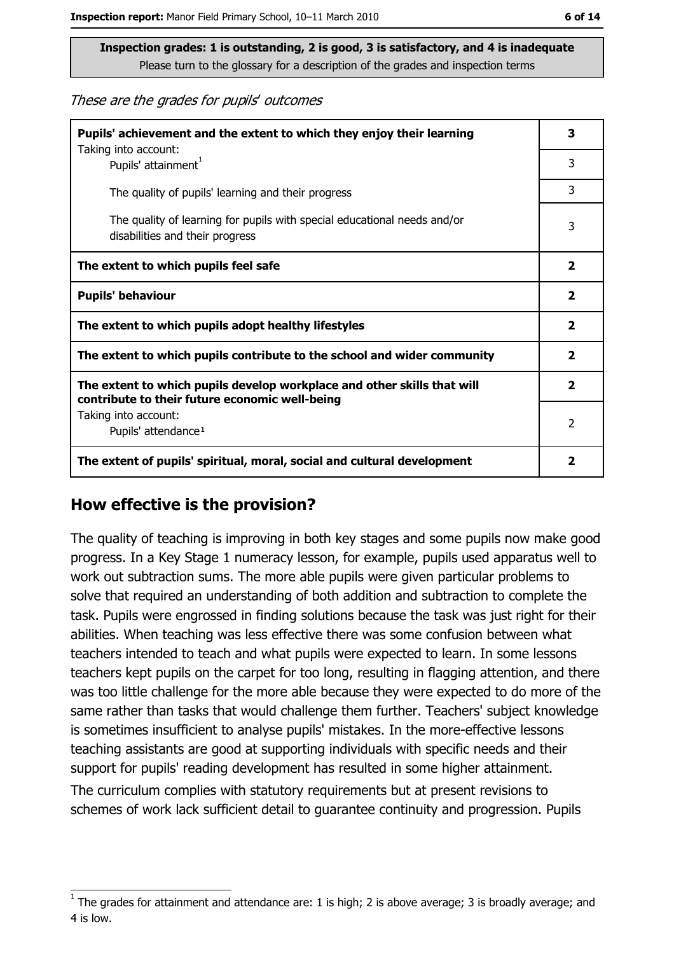These are the grades for pupils' outcomes

| Pupils' achievement and the extent to which they enjoy their learning                                                     |                         |
|---------------------------------------------------------------------------------------------------------------------------|-------------------------|
| Taking into account:<br>Pupils' attainment <sup>1</sup>                                                                   | 3                       |
| The quality of pupils' learning and their progress                                                                        | 3                       |
| The quality of learning for pupils with special educational needs and/or<br>disabilities and their progress               | 3                       |
| The extent to which pupils feel safe                                                                                      | $\overline{\mathbf{2}}$ |
| <b>Pupils' behaviour</b>                                                                                                  |                         |
| The extent to which pupils adopt healthy lifestyles                                                                       | $\overline{\mathbf{2}}$ |
| The extent to which pupils contribute to the school and wider community                                                   |                         |
| The extent to which pupils develop workplace and other skills that will<br>contribute to their future economic well-being |                         |
| Taking into account:<br>Pupils' attendance <sup>1</sup>                                                                   | $\mathcal{P}$           |
| The extent of pupils' spiritual, moral, social and cultural development                                                   |                         |

#### How effective is the provision?

The quality of teaching is improving in both key stages and some pupils now make good progress. In a Key Stage 1 numeracy lesson, for example, pupils used apparatus well to work out subtraction sums. The more able pupils were given particular problems to solve that required an understanding of both addition and subtraction to complete the task. Pupils were engrossed in finding solutions because the task was just right for their abilities. When teaching was less effective there was some confusion between what teachers intended to teach and what pupils were expected to learn. In some lessons teachers kept pupils on the carpet for too long, resulting in flagging attention, and there was too little challenge for the more able because they were expected to do more of the same rather than tasks that would challenge them further. Teachers' subject knowledge is sometimes insufficient to analyse pupils' mistakes. In the more-effective lessons teaching assistants are good at supporting individuals with specific needs and their support for pupils' reading development has resulted in some higher attainment.

The curriculum complies with statutory requirements but at present revisions to schemes of work lack sufficient detail to quarantee continuity and progression. Pupils

The grades for attainment and attendance are: 1 is high; 2 is above average; 3 is broadly average; and 4 is low.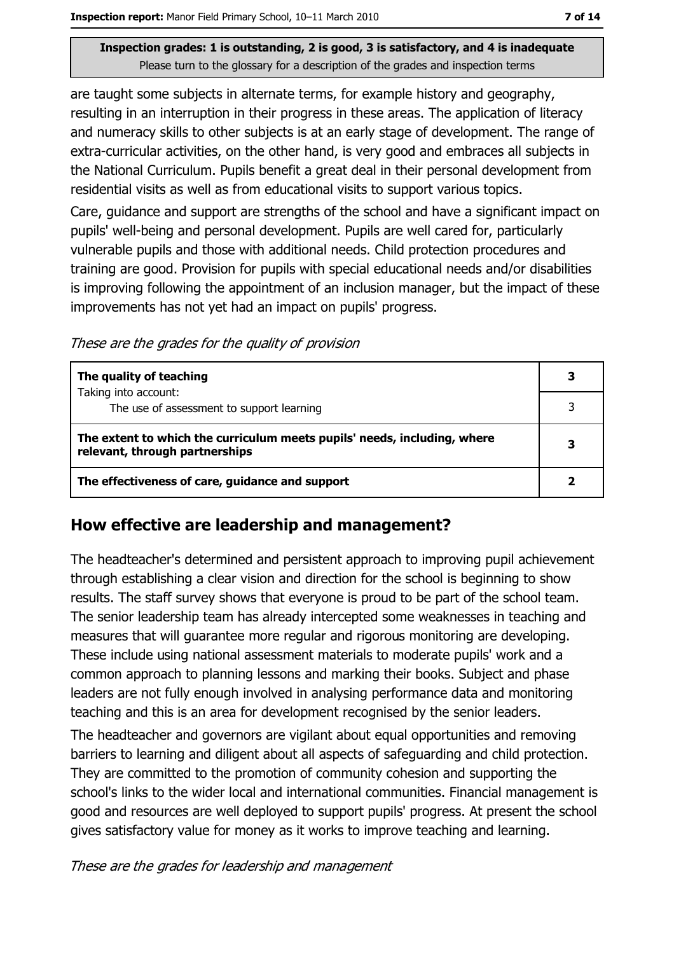are taught some subjects in alternate terms, for example history and geography, resulting in an interruption in their progress in these areas. The application of literacy and numeracy skills to other subjects is at an early stage of development. The range of extra-curricular activities, on the other hand, is very good and embraces all subjects in the National Curriculum. Pupils benefit a great deal in their personal development from residential visits as well as from educational visits to support various topics.

Care, guidance and support are strengths of the school and have a significant impact on pupils' well-being and personal development. Pupils are well cared for, particularly vulnerable pupils and those with additional needs. Child protection procedures and training are good. Provision for pupils with special educational needs and/or disabilities is improving following the appointment of an inclusion manager, but the impact of these improvements has not yet had an impact on pupils' progress.

These are the grades for the quality of provision

| The quality of teaching                                                                                    | 3 |
|------------------------------------------------------------------------------------------------------------|---|
| Taking into account:<br>The use of assessment to support learning                                          | 3 |
| The extent to which the curriculum meets pupils' needs, including, where<br>relevant, through partnerships |   |
| The effectiveness of care, guidance and support                                                            |   |

#### How effective are leadership and management?

The headteacher's determined and persistent approach to improving pupil achievement through establishing a clear vision and direction for the school is beginning to show results. The staff survey shows that everyone is proud to be part of the school team. The senior leadership team has already intercepted some weaknesses in teaching and measures that will guarantee more regular and rigorous monitoring are developing. These include using national assessment materials to moderate pupils' work and a common approach to planning lessons and marking their books. Subject and phase leaders are not fully enough involved in analysing performance data and monitoring teaching and this is an area for development recognised by the senior leaders.

The headteacher and governors are vigilant about equal opportunities and removing barriers to learning and diligent about all aspects of safeguarding and child protection. They are committed to the promotion of community cohesion and supporting the school's links to the wider local and international communities. Financial management is good and resources are well deployed to support pupils' progress. At present the school gives satisfactory value for money as it works to improve teaching and learning.

These are the grades for leadership and management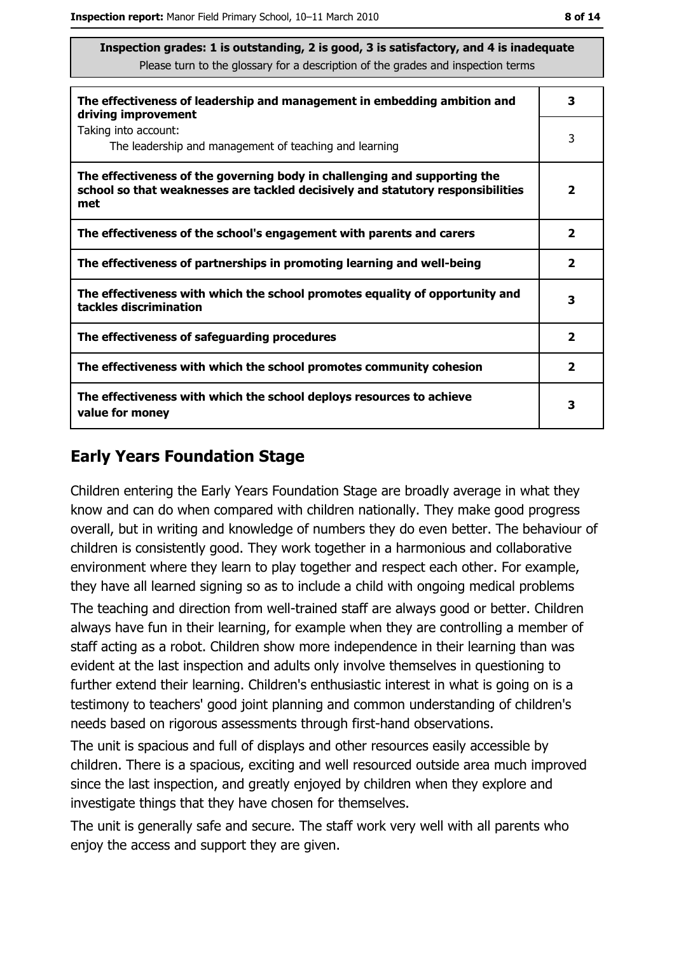| The effectiveness of leadership and management in embedding ambition and<br>driving improvement                                                                     |                         |  |
|---------------------------------------------------------------------------------------------------------------------------------------------------------------------|-------------------------|--|
| Taking into account:<br>The leadership and management of teaching and learning                                                                                      | 3                       |  |
| The effectiveness of the governing body in challenging and supporting the<br>school so that weaknesses are tackled decisively and statutory responsibilities<br>met | $\mathbf{2}$            |  |
| The effectiveness of the school's engagement with parents and carers                                                                                                | $\overline{\mathbf{2}}$ |  |
| The effectiveness of partnerships in promoting learning and well-being                                                                                              | $\overline{\mathbf{2}}$ |  |
| The effectiveness with which the school promotes equality of opportunity and<br>tackles discrimination                                                              | 3                       |  |
| The effectiveness of safeguarding procedures                                                                                                                        | $\overline{\mathbf{2}}$ |  |
| The effectiveness with which the school promotes community cohesion                                                                                                 | $\overline{\mathbf{2}}$ |  |
| The effectiveness with which the school deploys resources to achieve<br>value for money                                                                             | 3                       |  |

#### **Early Years Foundation Stage**

Children entering the Early Years Foundation Stage are broadly average in what they know and can do when compared with children nationally. They make good progress overall, but in writing and knowledge of numbers they do even better. The behaviour of children is consistently good. They work together in a harmonious and collaborative environment where they learn to play together and respect each other. For example, they have all learned signing so as to include a child with ongoing medical problems

The teaching and direction from well-trained staff are always good or better. Children always have fun in their learning, for example when they are controlling a member of staff acting as a robot. Children show more independence in their learning than was evident at the last inspection and adults only involve themselves in questioning to further extend their learning. Children's enthusiastic interest in what is going on is a testimony to teachers' good joint planning and common understanding of children's needs based on rigorous assessments through first-hand observations.

The unit is spacious and full of displays and other resources easily accessible by children. There is a spacious, exciting and well resourced outside area much improved since the last inspection, and greatly enjoyed by children when they explore and investigate things that they have chosen for themselves.

The unit is generally safe and secure. The staff work very well with all parents who enjoy the access and support they are given.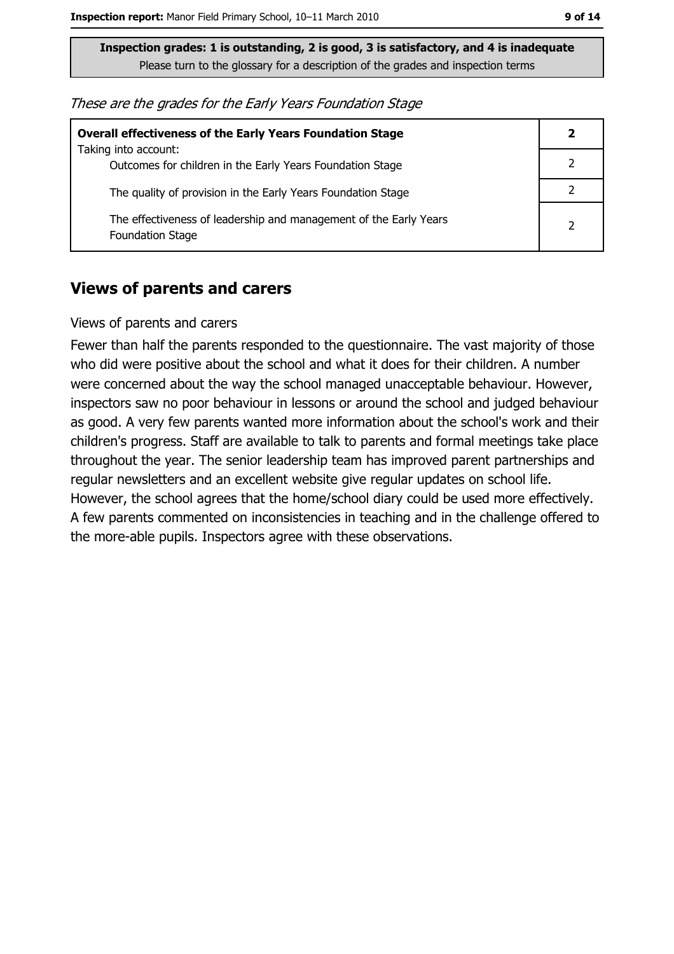These are the grades for the Early Years Foundation Stage

| <b>Overall effectiveness of the Early Years Foundation Stage</b>                             |  |
|----------------------------------------------------------------------------------------------|--|
| Taking into account:<br>Outcomes for children in the Early Years Foundation Stage            |  |
| The quality of provision in the Early Years Foundation Stage                                 |  |
| The effectiveness of leadership and management of the Early Years<br><b>Foundation Stage</b> |  |

#### **Views of parents and carers**

#### Views of parents and carers

Fewer than half the parents responded to the questionnaire. The vast majority of those who did were positive about the school and what it does for their children. A number were concerned about the way the school managed unacceptable behaviour. However, inspectors saw no poor behaviour in lessons or around the school and judged behaviour as good. A very few parents wanted more information about the school's work and their children's progress. Staff are available to talk to parents and formal meetings take place throughout the year. The senior leadership team has improved parent partnerships and regular newsletters and an excellent website give regular updates on school life. However, the school agrees that the home/school diary could be used more effectively. A few parents commented on inconsistencies in teaching and in the challenge offered to the more-able pupils. Inspectors agree with these observations.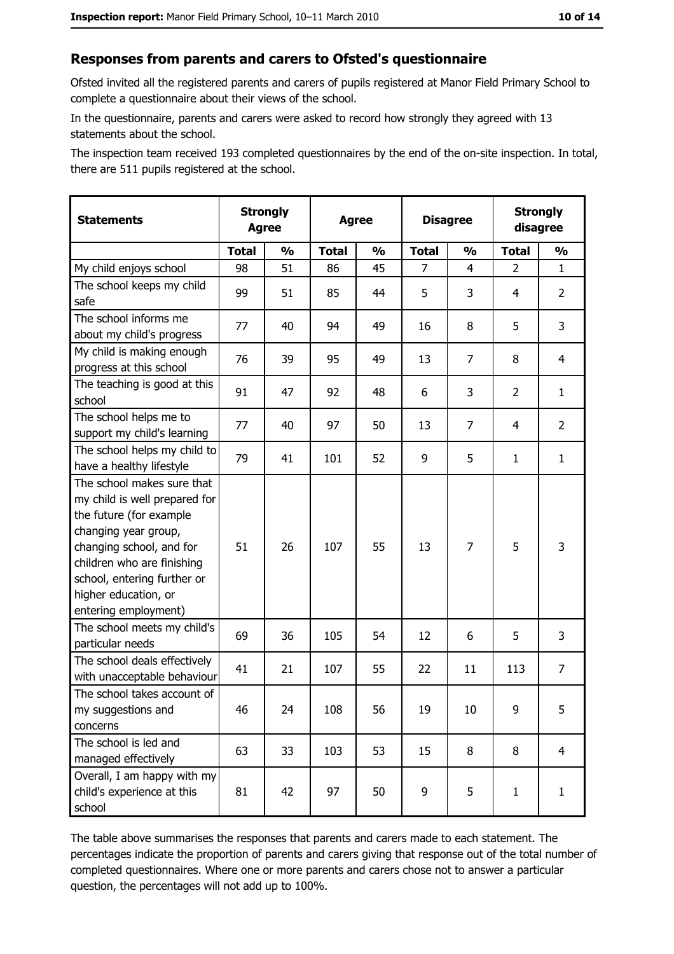#### Responses from parents and carers to Ofsted's questionnaire

Ofsted invited all the registered parents and carers of pupils registered at Manor Field Primary School to complete a questionnaire about their views of the school.

In the questionnaire, parents and carers were asked to record how strongly they agreed with 13 statements about the school.

The inspection team received 193 completed questionnaires by the end of the on-site inspection. In total, there are 511 pupils registered at the school.

| <b>Statements</b>                                                                                                                                                                                                                                       | <b>Strongly</b><br><b>Agree</b> |               | <b>Agree</b> |               |                | <b>Disagree</b> |                | <b>Strongly</b><br>disagree |  |
|---------------------------------------------------------------------------------------------------------------------------------------------------------------------------------------------------------------------------------------------------------|---------------------------------|---------------|--------------|---------------|----------------|-----------------|----------------|-----------------------------|--|
|                                                                                                                                                                                                                                                         | <b>Total</b>                    | $\frac{0}{0}$ | <b>Total</b> | $\frac{0}{0}$ | <b>Total</b>   | $\frac{0}{0}$   | <b>Total</b>   | $\frac{1}{2}$               |  |
| My child enjoys school                                                                                                                                                                                                                                  | 98                              | 51            | 86           | 45            | $\overline{7}$ | $\overline{4}$  | $\overline{2}$ | $\mathbf{1}$                |  |
| The school keeps my child<br>safe                                                                                                                                                                                                                       | 99                              | 51            | 85           | 44            | 5              | 3               | 4              | $\overline{2}$              |  |
| The school informs me<br>about my child's progress                                                                                                                                                                                                      | 77                              | 40            | 94           | 49            | 16             | 8               | 5              | 3                           |  |
| My child is making enough<br>progress at this school                                                                                                                                                                                                    | 76                              | 39            | 95           | 49            | 13             | 7               | 8              | $\overline{4}$              |  |
| The teaching is good at this<br>school                                                                                                                                                                                                                  | 91                              | 47            | 92           | 48            | 6              | 3               | $\overline{2}$ | $\mathbf{1}$                |  |
| The school helps me to<br>support my child's learning                                                                                                                                                                                                   | 77                              | 40            | 97           | 50            | 13             | $\overline{7}$  | 4              | $\overline{2}$              |  |
| The school helps my child to<br>have a healthy lifestyle                                                                                                                                                                                                | 79                              | 41            | 101          | 52            | 9              | 5               | 1              | $\mathbf{1}$                |  |
| The school makes sure that<br>my child is well prepared for<br>the future (for example<br>changing year group,<br>changing school, and for<br>children who are finishing<br>school, entering further or<br>higher education, or<br>entering employment) | 51                              | 26            | 107          | 55            | 13             | 7               | 5              | 3                           |  |
| The school meets my child's<br>particular needs                                                                                                                                                                                                         | 69                              | 36            | 105          | 54            | 12             | 6               | 5              | 3                           |  |
| The school deals effectively<br>with unacceptable behaviour                                                                                                                                                                                             | 41                              | 21            | 107          | 55            | 22             | 11              | 113            | $\overline{7}$              |  |
| The school takes account of<br>my suggestions and<br>concerns                                                                                                                                                                                           | 46                              | 24            | 108          | 56            | 19             | 10              | 9              | 5                           |  |
| The school is led and<br>managed effectively                                                                                                                                                                                                            | 63                              | 33            | 103          | 53            | 15             | 8               | 8              | $\overline{4}$              |  |
| Overall, I am happy with my<br>child's experience at this<br>school                                                                                                                                                                                     | 81                              | 42            | 97           | 50            | 9              | 5               | $\mathbf{1}$   | $\mathbf{1}$                |  |

The table above summarises the responses that parents and carers made to each statement. The percentages indicate the proportion of parents and carers giving that response out of the total number of completed questionnaires. Where one or more parents and carers chose not to answer a particular question, the percentages will not add up to 100%.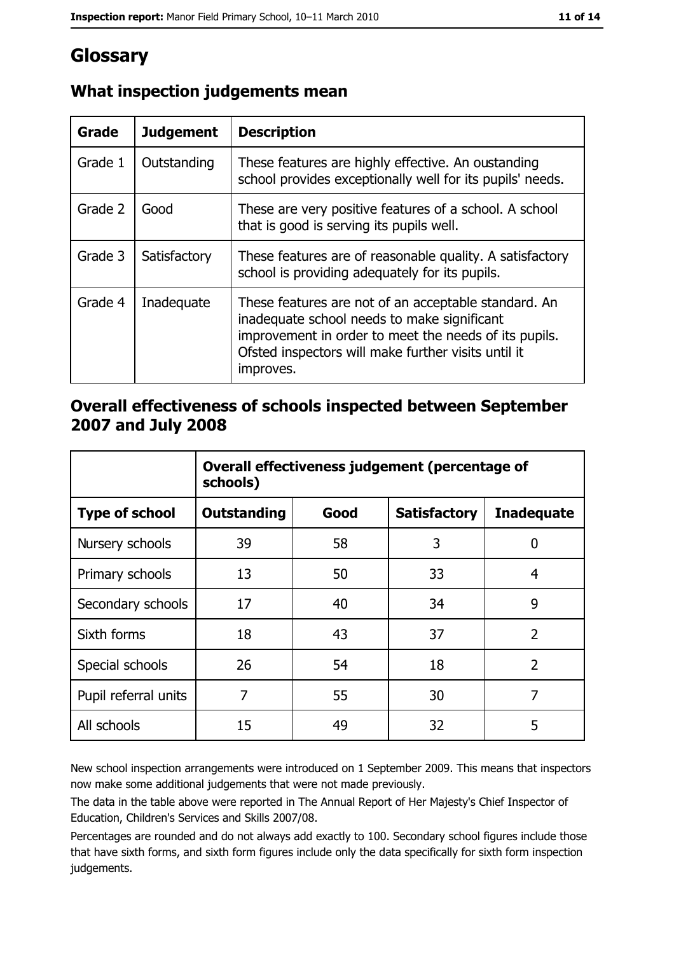## Glossary

| Grade   | <b>Judgement</b> | <b>Description</b>                                                                                                                                                                                                               |  |
|---------|------------------|----------------------------------------------------------------------------------------------------------------------------------------------------------------------------------------------------------------------------------|--|
| Grade 1 | Outstanding      | These features are highly effective. An oustanding<br>school provides exceptionally well for its pupils' needs.                                                                                                                  |  |
| Grade 2 | Good             | These are very positive features of a school. A school<br>that is good is serving its pupils well.                                                                                                                               |  |
| Grade 3 | Satisfactory     | These features are of reasonable quality. A satisfactory<br>school is providing adequately for its pupils.                                                                                                                       |  |
| Grade 4 | Inadequate       | These features are not of an acceptable standard. An<br>inadequate school needs to make significant<br>improvement in order to meet the needs of its pupils.<br>Ofsted inspectors will make further visits until it<br>improves. |  |

## What inspection judgements mean

#### Overall effectiveness of schools inspected between September 2007 and July 2008

|                       | Overall effectiveness judgement (percentage of<br>schools) |      |                     |                   |
|-----------------------|------------------------------------------------------------|------|---------------------|-------------------|
| <b>Type of school</b> | Outstanding                                                | Good | <b>Satisfactory</b> | <b>Inadequate</b> |
| Nursery schools       | 39                                                         | 58   | 3                   | 0                 |
| Primary schools       | 13                                                         | 50   | 33                  | 4                 |
| Secondary schools     | 17                                                         | 40   | 34                  | 9                 |
| Sixth forms           | 18                                                         | 43   | 37                  | $\overline{2}$    |
| Special schools       | 26                                                         | 54   | 18                  | $\overline{2}$    |
| Pupil referral units  | 7                                                          | 55   | 30                  | 7                 |
| All schools           | 15                                                         | 49   | 32                  | 5                 |

New school inspection arrangements were introduced on 1 September 2009. This means that inspectors now make some additional judgements that were not made previously.

The data in the table above were reported in The Annual Report of Her Majesty's Chief Inspector of Education, Children's Services and Skills 2007/08.

Percentages are rounded and do not always add exactly to 100. Secondary school figures include those that have sixth forms, and sixth form figures include only the data specifically for sixth form inspection judgements.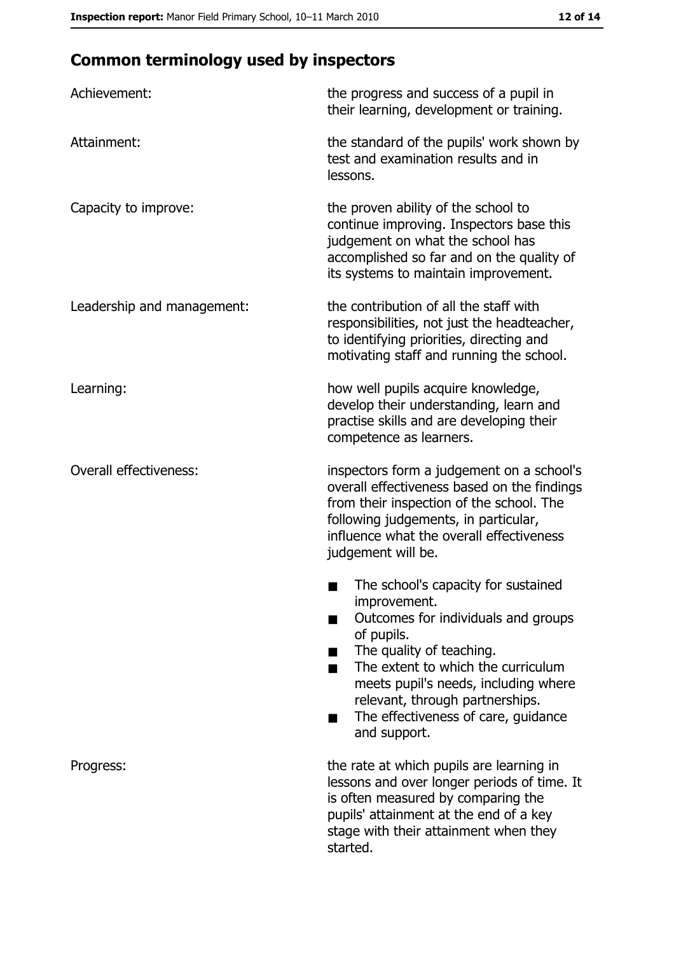## **Common terminology used by inspectors**

| Achievement:                  | the progress and success of a pupil in<br>their learning, development or training.                                                                                                                                                                                                                           |
|-------------------------------|--------------------------------------------------------------------------------------------------------------------------------------------------------------------------------------------------------------------------------------------------------------------------------------------------------------|
| Attainment:                   | the standard of the pupils' work shown by<br>test and examination results and in<br>lessons.                                                                                                                                                                                                                 |
| Capacity to improve:          | the proven ability of the school to<br>continue improving. Inspectors base this<br>judgement on what the school has<br>accomplished so far and on the quality of<br>its systems to maintain improvement.                                                                                                     |
| Leadership and management:    | the contribution of all the staff with<br>responsibilities, not just the headteacher,<br>to identifying priorities, directing and<br>motivating staff and running the school.                                                                                                                                |
| Learning:                     | how well pupils acquire knowledge,<br>develop their understanding, learn and<br>practise skills and are developing their<br>competence as learners.                                                                                                                                                          |
| <b>Overall effectiveness:</b> | inspectors form a judgement on a school's<br>overall effectiveness based on the findings<br>from their inspection of the school. The<br>following judgements, in particular,<br>influence what the overall effectiveness<br>judgement will be.                                                               |
|                               | The school's capacity for sustained<br>improvement.<br>Outcomes for individuals and groups<br>of pupils.<br>The quality of teaching.<br>The extent to which the curriculum<br>meets pupil's needs, including where<br>relevant, through partnerships.<br>The effectiveness of care, guidance<br>and support. |
| Progress:                     | the rate at which pupils are learning in<br>lessons and over longer periods of time. It<br>is often measured by comparing the<br>pupils' attainment at the end of a key<br>stage with their attainment when they<br>started.                                                                                 |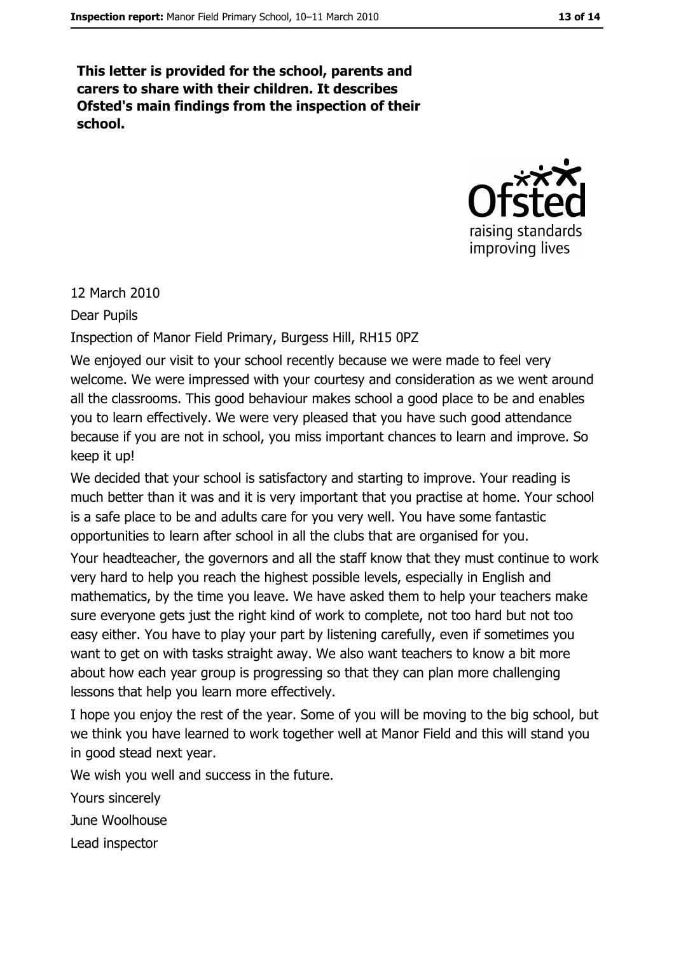This letter is provided for the school, parents and carers to share with their children. It describes Ofsted's main findings from the inspection of their school.



#### 12 March 2010

**Dear Pupils** 

Inspection of Manor Field Primary, Burgess Hill, RH15 0PZ

We enjoyed our visit to your school recently because we were made to feel very welcome. We were impressed with your courtesy and consideration as we went around all the classrooms. This good behaviour makes school a good place to be and enables you to learn effectively. We were very pleased that you have such good attendance because if you are not in school, you miss important chances to learn and improve. So keep it up!

We decided that your school is satisfactory and starting to improve. Your reading is much better than it was and it is very important that you practise at home. Your school is a safe place to be and adults care for you very well. You have some fantastic opportunities to learn after school in all the clubs that are organised for you.

Your headteacher, the governors and all the staff know that they must continue to work very hard to help you reach the highest possible levels, especially in English and mathematics, by the time you leave. We have asked them to help your teachers make sure everyone gets just the right kind of work to complete, not too hard but not too easy either. You have to play your part by listening carefully, even if sometimes you want to get on with tasks straight away. We also want teachers to know a bit more about how each year group is progressing so that they can plan more challenging lessons that help you learn more effectively.

I hope you enjoy the rest of the year. Some of you will be moving to the big school, but we think you have learned to work together well at Manor Field and this will stand you in good stead next year.

We wish you well and success in the future.

Yours sincerely

June Woolhouse

Lead inspector